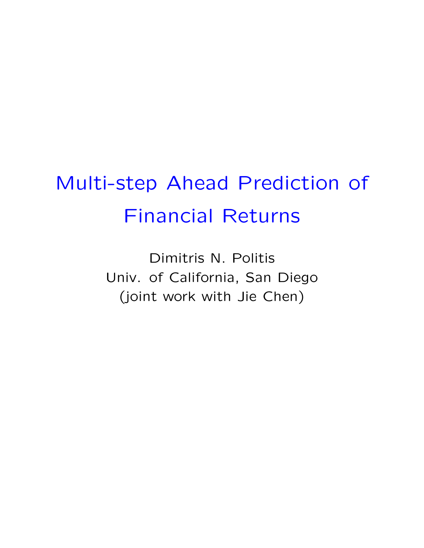## Multi-step Ahead Prediction of Financial Returns

Dimitris N. Politis Univ. of California, San Diego (joint work with Jie Chen)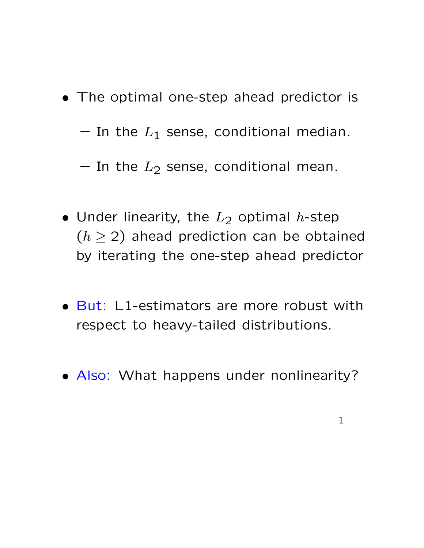- The optimal one-step ahead predictor is
	- $-$  In the  $L_1$  sense, conditional median.
	- In the  $L_2$  sense, conditional mean.
- Under linearity, the  $L_2$  optimal h-step  $(h \geq 2)$  ahead prediction can be obtained by iterating the one-step ahead predictor
- But: L1-estimators are more robust with respect to heavy-tailed distributions.
- Also: What happens under nonlinearity?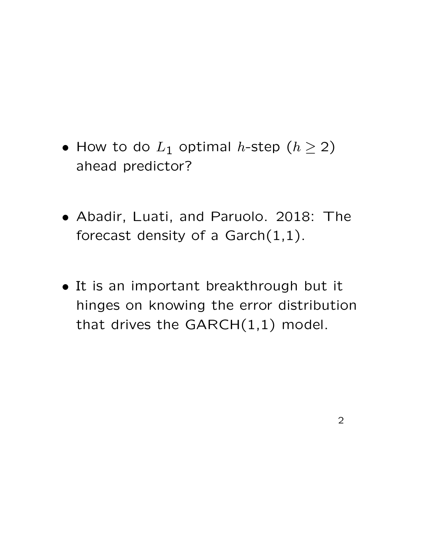- How to do  $L_1$  optimal h-step  $(h \ge 2)$ ahead predictor?
- Abadir, Luati, and Paruolo. 2018: The forecast density of a  $Garch(1,1)$ .
- It is an important breakthrough but it hinges on knowing the error distribution that drives the  $GARCH(1,1)$  model.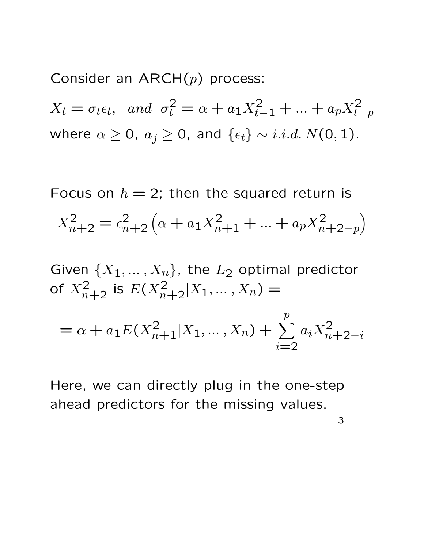Consider an  $ARCH(p)$  process:

 $X_t = \sigma_t \epsilon_t$ , and  $\sigma_t^2 = \alpha + a_1 X_{t-1}^2 + ... + a_p X_{t-p}^2$ where  $\alpha \geq 0$ ,  $a_j \geq 0$ , and  $\{\epsilon_t\} \sim i.i.d. N(0, 1)$ .

Focus on  $h = 2$ ; then the squared return is

$$
X_{n+2}^2 = \epsilon_{n+2}^2 \left( \alpha + a_1 X_{n+1}^2 + \dots + a_p X_{n+2-p}^2 \right)
$$

Given  $\{X_1, \ldots, X_n\}$ , the  $L_2$  optimal predictor of  $X_{n+2}^2$  is  $E(X_{n+2}^2 | X_1, \ldots, X_n) =$ 

$$
= \alpha + a_1 E(X_{n+1}^2 | X_1, \dots, X_n) + \sum_{i=2}^p a_i X_{n+2-i}^2
$$

Here, we can directly plug in the one-step ahead predictors for the missing values.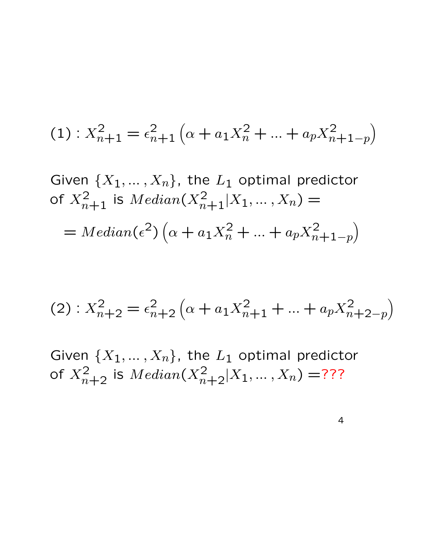$$
(1): X_{n+1}^2 = \epsilon_{n+1}^2 \left( \alpha + a_1 X_n^2 + \dots + a_p X_{n+1-p}^2 \right)
$$

Given 
$$
\{X_1, ..., X_n\}
$$
, the  $L_1$  optimal predictor  
of  $X_{n+1}^2$  is  $Median(X_{n+1}^2 | X_1, ..., X_n) =$   

$$
= Median(\epsilon^2) \left(\alpha + a_1 X_n^2 + ... + a_p X_{n+1-p}^2\right)
$$

$$
(2): X_{n+2}^2 = \epsilon_{n+2}^2 \left( \alpha + a_1 X_{n+1}^2 + \dots + a_p X_{n+2-p}^2 \right)
$$

Given  $\{X_1, \ldots, X_n\}$ , the  $L_1$  optimal predictor of  $X_{n+2}^2$  is  $Median(X_{n+2}^2|X_1,...,X_n) =$ ???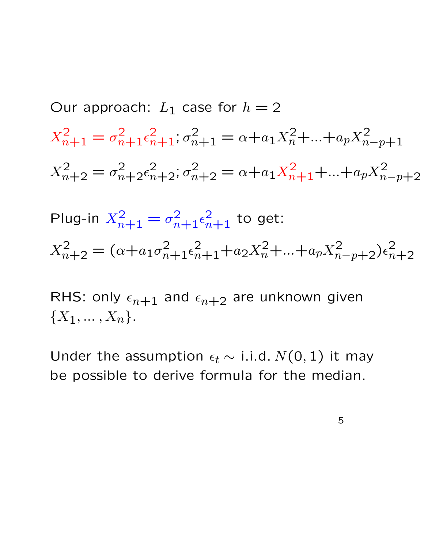Our approach:  $L_1$  case for  $h = 2$  $X_{n+1}^2 = \sigma_{n+1}^2 \epsilon_{n+1}^2$ ;  $\sigma_{n+1}^2 = \alpha + a_1 X_n^2 + ... + a_p X_{n-p+1}^2$  $X_{n+2}^2 = \sigma_{n+2}^2 \epsilon_{n+2}^2$ ;  $\sigma_{n+2}^2 = \alpha + a_1 X_{n+1}^2 + ... + a_p X_{n-p+2}^2$ Plug-in  $X_{n+1}^2 = \sigma_{n+1}^2 \epsilon_{n+1}^2$  to get:

 $X_{n+2}^2 = (\alpha + a_1 \sigma_{n+1}^2 \epsilon_{n+1}^2 + a_2 X_n^2 + \ldots + a_p X_{n-p+2}^2) \epsilon_n^2$  $n+2$ 

RHS: only  $\epsilon_{n+1}$  and  $\epsilon_{n+2}$  are unknown given  ${X_1, ..., X_n}.$ 

Under the assumption  $\epsilon_t \sim$  i.i.d.  $N(0, 1)$  it may be possible to derive formula for the median.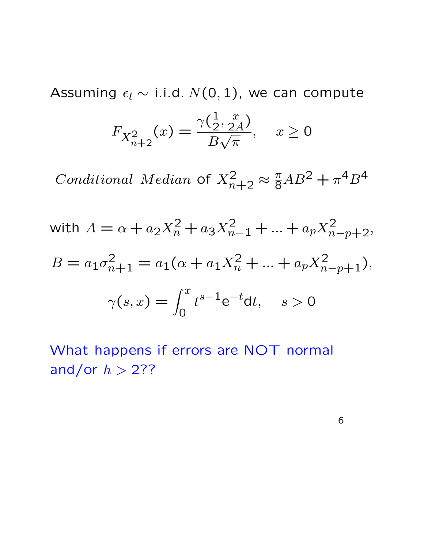Assuming  $\epsilon_t \sim$  i.i.d.  $N(0, 1)$ , we can compute

$$
F_{X_{n+2}^2}(x) = \frac{\gamma(\frac{1}{2}, \frac{x}{2A})}{B\sqrt{\pi}}, \quad x \ge 0
$$

Conditional Median of  $X_{n+2}^2 \approx \frac{\pi}{8}AB^2 + \pi^4B^4$ 

with 
$$
A = \alpha + a_2 X_n^2 + a_3 X_{n-1}^2 + \dots + a_p X_{n-p+2}^2
$$
,  
\n
$$
B = a_1 \sigma_{n+1}^2 = a_1 (\alpha + a_1 X_n^2 + \dots + a_p X_{n-p+1}^2),
$$
\n
$$
\gamma(s, x) = \int_0^x t^{s-1} e^{-t} dt, \quad s > 0
$$

What happens if errors are NOT normal and/or  $h > 2$ ??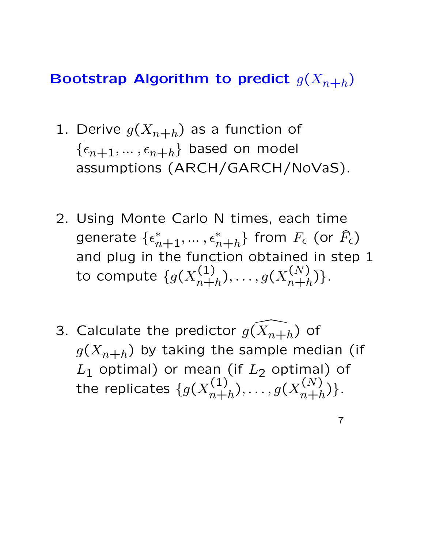## Bootstrap Algorithm to predict  $g(X_{n+h})$

- 1. Derive  $g(X_{n+h})$  as a function of  $\{\epsilon_{n+1}, \ldots, \epsilon_{n+h}\}$  based on model assumptions (ARCH/GARCH/NoVaS).
- 2. Using Monte Carlo N times, each time generate  $\{\epsilon_{n+1}^*,\dots,\epsilon_{n+h}^*\}$  from  $F_\epsilon$  (or  $\widehat{F}_\epsilon$ ) and plug in the function obtained in step 1 to compute  $\{ g(X_{n+}^{(1)}) \}$  $(g(n+1)$ <sub>n+h</sub> $), \ldots, g(X_{n+h}^{(N)})$  $\binom{N}{n+h}$ .
- 3. Calculate the predictor  $g($  $\widehat{Y}$  $X_{n+h}$ ) of  $g(X_{n+h})$  by taking the sample median (if  $L_1$  optimal) or mean (if  $L_2$  optimal) of the replicates  $\{g(X_{n+1}^{(1)})\}$  $\binom{(1)}{n+h},\ldots,g(X_{n+h}^{(N)})$  $\binom{\binom{n}{k}}{n+h}$ .

7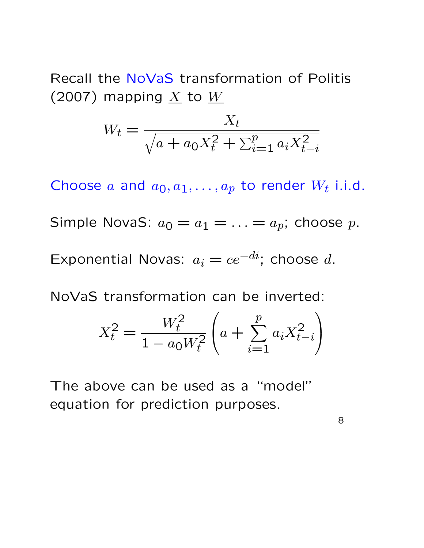Recall the NoVaS transformation of Politis (2007) mapping  $\underline{X}$  to  $\underline{W}$ 

$$
W_t = \frac{X_t}{\sqrt{a + a_0 X_t^2 + \sum_{i=1}^p a_i X_{t-i}^2}}
$$

Choose a and  $a_0, a_1, \ldots, a_p$  to render  $W_t$  i.i.d.

Simple NovaS:  $a_0 = a_1 = \ldots = a_p$ ; choose p.

Exponential Novas:  $a_i = ce^{-di}$ ; choose d.

NoVaS transformation can be inverted:

$$
X_t^2 = \frac{W_t^2}{1 - a_0 W_t^2} \left( a + \sum_{i=1}^p a_i X_{t-i}^2 \right)
$$

The above can be used as a "model" equation for prediction purposes.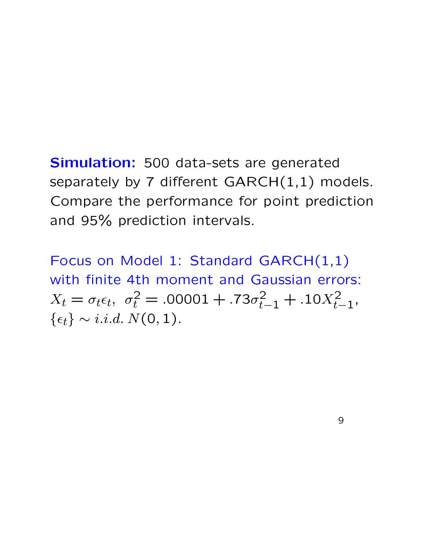## Simulation: 500 data-sets are generated separately by 7 different  $GARCH(1,1)$  models. Compare the performance for point prediction and 95% prediction intervals.

Focus on Model 1: Standard GARCH(1,1) with finite 4th moment and Gaussian errors:  $X_t = \sigma_t \epsilon_t, \ \sigma_t^2 = .00001 + .73\sigma_{t-1}^2 + .10X_{t-1}^2,$  $\{\epsilon_t\} \sim i.i.d. N(0, 1).$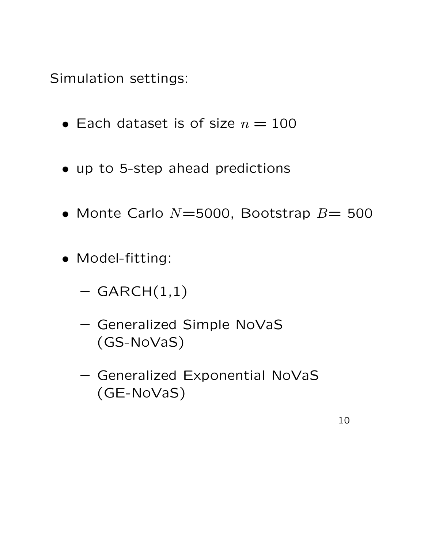Simulation settings:

- Each dataset is of size  $n = 100$
- up to 5-step ahead predictions
- Monte Carlo  $N=5000$ , Bootstrap  $B=500$
- Model-fitting:
	- $-$  GARCH $(1,1)$
	- Generalized Simple NoVaS (GS-NoVaS)
	- Generalized Exponential NoVaS (GE-NoVaS)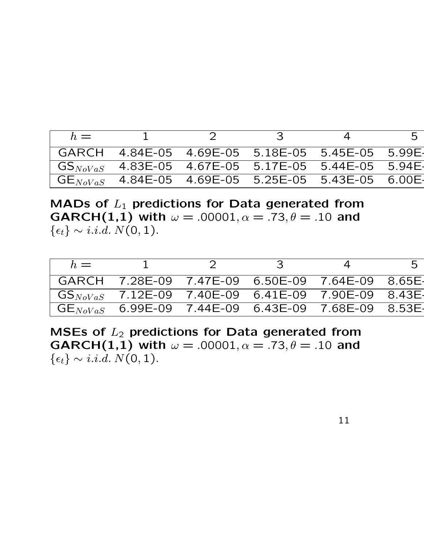| $h =$ |                                                                                               |  | -5 |
|-------|-----------------------------------------------------------------------------------------------|--|----|
|       |                                                                                               |  |    |
|       | $\mid$ GS $_{NoVaS}$ 4.83E-05 4.67E-05 5.17E-05 5.44E-05 5.94E-                               |  |    |
|       | $^{\prime}$ GE $_{NoVaS}$ $\,$ 4.84E-05 $\,$ 4.69E-05 $\,$ 5.25E-05 $\,$ 5.43E-05 $\,$ 6.00E- |  |    |

MADs of  $L_1$  predictions for Data generated from **GARCH(1,1) with**  $\omega = .00001, \alpha = .73, \theta = .10$  and  $\{\epsilon_t\} \sim i.i.d. N(0, 1).$ 

| $h =$ |  |                                                                            | 5 |
|-------|--|----------------------------------------------------------------------------|---|
|       |  | GARCH 7.28E-09 7.47E-09 6.50E-09 7.64E-09 8.65E                            |   |
|       |  | $\textsf{GS}_{NoVaS}$ = 7.12E-09 = 7.40E-09 = 6.41E-09 = 7.90E-09 = 8.43E- |   |
|       |  |                                                                            |   |

MSEs of  $L_2$  predictions for Data generated from **GARCH(1,1) with**  $\omega = .00001, \alpha = .73, \theta = .10$  and  $\{\epsilon_t\} \sim i.i.d. N(0, 1).$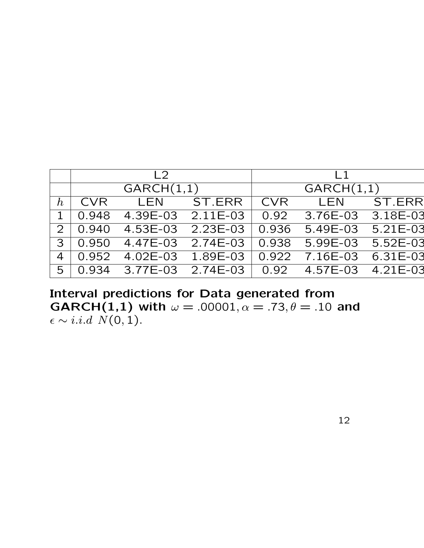|                  | $\sqrt{2}$ |                                                         |            | $\vert$ 1  |                |  |  |
|------------------|------------|---------------------------------------------------------|------------|------------|----------------|--|--|
|                  | GARCH(1,1) |                                                         |            | GARCH(1,1) |                |  |  |
| $\boldsymbol{h}$ | CVR        |                                                         | LEN ST.ERR |            | CVR LEN ST.ERR |  |  |
| $\mathbf{1}$     |            | $0.948$ 4.39E-03 2.11E-03 0.92 3.76E-03 3.18E-03        |            |            |                |  |  |
|                  |            | $2   0.940 4.53E-03 2.23E-03   0.936 5.49E-03 5.21E-03$ |            |            |                |  |  |
|                  |            | $3   0.950$ 4.47E-03 2.74E-03 0.938 5.99E-03 5.52E-03   |            |            |                |  |  |
| $\overline{4}$   |            | $\vert$ 0.952 4.02E-03 1.89E-03 0.922 7.16E-03 6.31E-03 |            |            |                |  |  |
| 5 <sup>1</sup>   |            |                                                         |            |            |                |  |  |

Interval predictions for Data generated from **GARCH(1,1) with**  $\omega = .00001, \alpha = .73, \theta = .10$  and  $\epsilon \sim i.i.d \ N(0, 1).$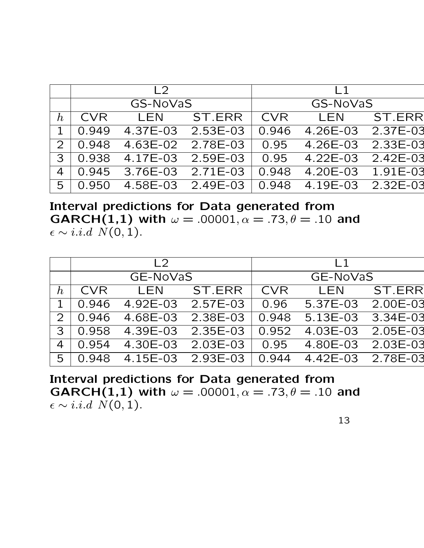|                  |          | $\sqrt{2}$                                           |            | $\vert$ 1 |                |  |  |
|------------------|----------|------------------------------------------------------|------------|-----------|----------------|--|--|
|                  | GS-NoVaS |                                                      |            | GS-NoVaS  |                |  |  |
| $\boldsymbol{h}$ | CVR      |                                                      | LEN ST.ERR |           | CVR LEN ST.ERR |  |  |
| $\mathbf{1}$     |          | 0.949  4.37E-03  2.53E-03  0.946  4.26E-03  2.37E-03 |            |           |                |  |  |
| 2 <sup>1</sup>   |          | $0.948$ 4.63E-02 2.78E-03 0.95 4.26E-03 2.33E-03     |            |           |                |  |  |
| 3 <sup>1</sup>   |          | $0.938$ 4.17E-03 2.59E-03 0.95 4.22E-03 2.42E-03     |            |           |                |  |  |
| 4                |          | $0.945$ 3.76E-03 2.71E-03 0.948 4.20E-03 1.91E-03    |            |           |                |  |  |
| 5 <sup>1</sup>   |          | 0.950  4.58E-03  2.49E-03  0.948  4.19E-03  2.32E-03 |            |           |                |  |  |

Interval predictions for Data generated from **GARCH(1,1) with**  $\omega = .00001, \alpha = .73, \theta = .10$  and  $\epsilon \sim i.i.d \ N(0, 1).$ 

|                  |            | L2                                                  |                   | $\vert$ 1 |                              |        |
|------------------|------------|-----------------------------------------------------|-------------------|-----------|------------------------------|--------|
|                  | GE-NoVaS   |                                                     |                   | GE-NoVaS  |                              |        |
| $\boldsymbol{h}$ | <b>CVR</b> | LEN                                                 | ST.ERR            |           | CVR LEN                      | ST.ERR |
|                  |            | 0.946  4.92E-03  2.57E-03  0.96  5.37E-03  2.00E-03 |                   |           |                              |        |
| $\mathcal{P}$    | 0.946      | 4.68E-03 2.38E-03                                   |                   |           | 0.948 5.13E-03 3.34E-03      |        |
| 3                |            | $0.958$ 4.39E-03 2.35E-03 0.952 4.03E-03 2.05E-03   |                   |           |                              |        |
| $\overline{4}$   | 0.954      |                                                     | 4.30E-03 2.03E-03 |           | 0.95    4.80E-03    2.03E-03 |        |
| 5                |            | $0.948$ 4.15E-03 2.93E-03 0.944 4.42E-03 2.78E-03   |                   |           |                              |        |

Interval predictions for Data generated from **GARCH(1,1)** with  $\omega = .00001, \alpha = .73, \theta = .10$  and  $\epsilon \sim i.i.d \ N(0,1).$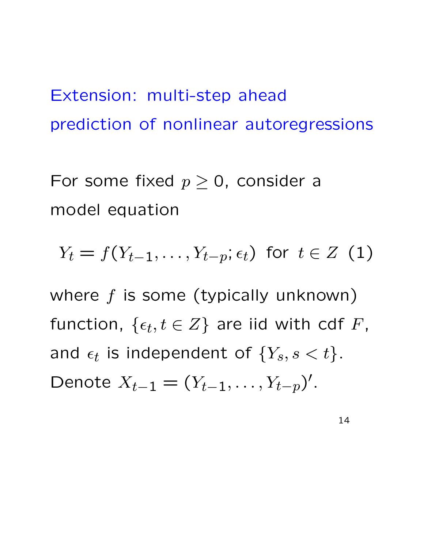Extension: multi-step ahead prediction of nonlinear autoregressions

For some fixed  $p \geq 0$ , consider a model equation

$$
Y_t = f(Y_{t-1}, \ldots, Y_{t-p}; \epsilon_t) \text{ for } t \in Z \text{ (1)}
$$

where  $f$  is some (typically unknown) function,  $\{\epsilon_t, t \in Z\}$  are iid with cdf  $F$ , and  $\epsilon_t$  is independent of  $\{Y_s, s < t\}.$ Denote  $X_{t-1} = (Y_{t-1}, \ldots, Y_{t-p})'$ .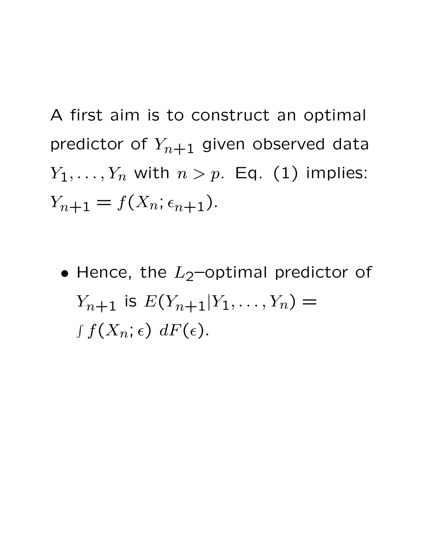A first aim is to construct an optimal predictor of  $Y_{n+1}$  given observed data  $Y_1, \ldots, Y_n$  with  $n > p$ . Eq. (1) implies:  $Y_{n+1} = f(X_n; \epsilon_{n+1}).$ 

• Hence, the  $L_2$ -optimal predictor of  $Y_{n+1}$  is  $E(Y_{n+1}|Y_1,\ldots,Y_n) =$  $\int f(X_n; \epsilon) \; dF(\epsilon).$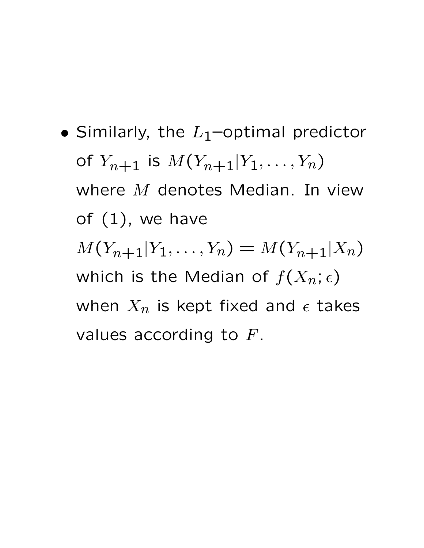• Similarly, the  $L_1$ -optimal predictor of  $Y_{n+1}$  is  $M(Y_{n+1}|Y_1,\ldots,Y_n)$ where M denotes Median. In view of  $(1)$ , we have  $M(Y_{n+1}|Y_1,\ldots,Y_n) = M(Y_{n+1}|X_n)$ which is the Median of  $f(X_n; \epsilon)$ when  $X_n$  is kept fixed and  $\epsilon$  takes values according to  $F$ .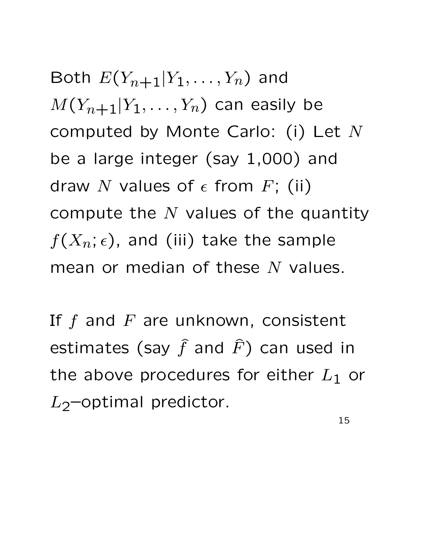Both  $E(Y_{n+1}|Y_1,\ldots,Y_n)$  and  $M(Y_{n+1}|Y_1,\ldots,Y_n)$  can easily be computed by Monte Carlo: (i) Let N be a large integer (say 1,000) and draw N values of  $\epsilon$  from F; (ii) compute the  $N$  values of the quantity  $f(X_n; \epsilon)$ , and (iii) take the sample mean or median of these  $N$  values.

If  $f$  and  $F$  are unknown, consistent estimates (say  $\widehat{f}$  and  $\widehat{F}$ ) can used in the above procedures for either  $L_1$  or  $L_2$ –optimal predictor.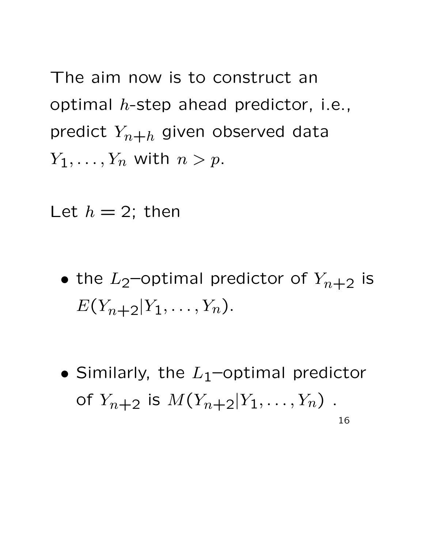The aim now is to construct an optimal  $h$ -step ahead predictor, i.e., predict  $Y_{n+h}$  given observed data  $Y_1, \ldots, Y_n$  with  $n > p$ .

Let  $h = 2$ ; then

- the  $L_2$ -optimal predictor of  $Y_{n+2}$  is  $E(Y_{n+2}|Y_1,\ldots,Y_n).$
- Similarly, the  $L_1$ –optimal predictor of  $Y_{n+2}$  is  $M(Y_{n+2}|Y_1,\ldots,Y_n)$ . 16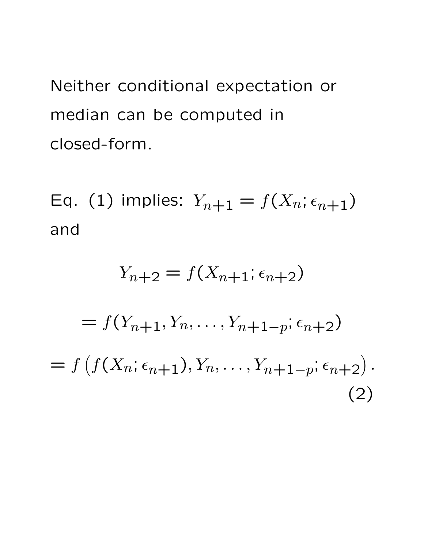Neither conditional expectation or median can be computed in closed-form.

Eq. (1) implies:  $Y_{n+1} = f(X_n; \epsilon_{n+1})$ and

$$
Y_{n+2} = f(X_{n+1}; \epsilon_{n+2})
$$
  
=  $f(Y_{n+1}, Y_n, \dots, Y_{n+1-p}; \epsilon_{n+2})$   
=  $f(f(X_n; \epsilon_{n+1}), Y_n, \dots, Y_{n+1-p}; \epsilon_{n+2}).$  (2)